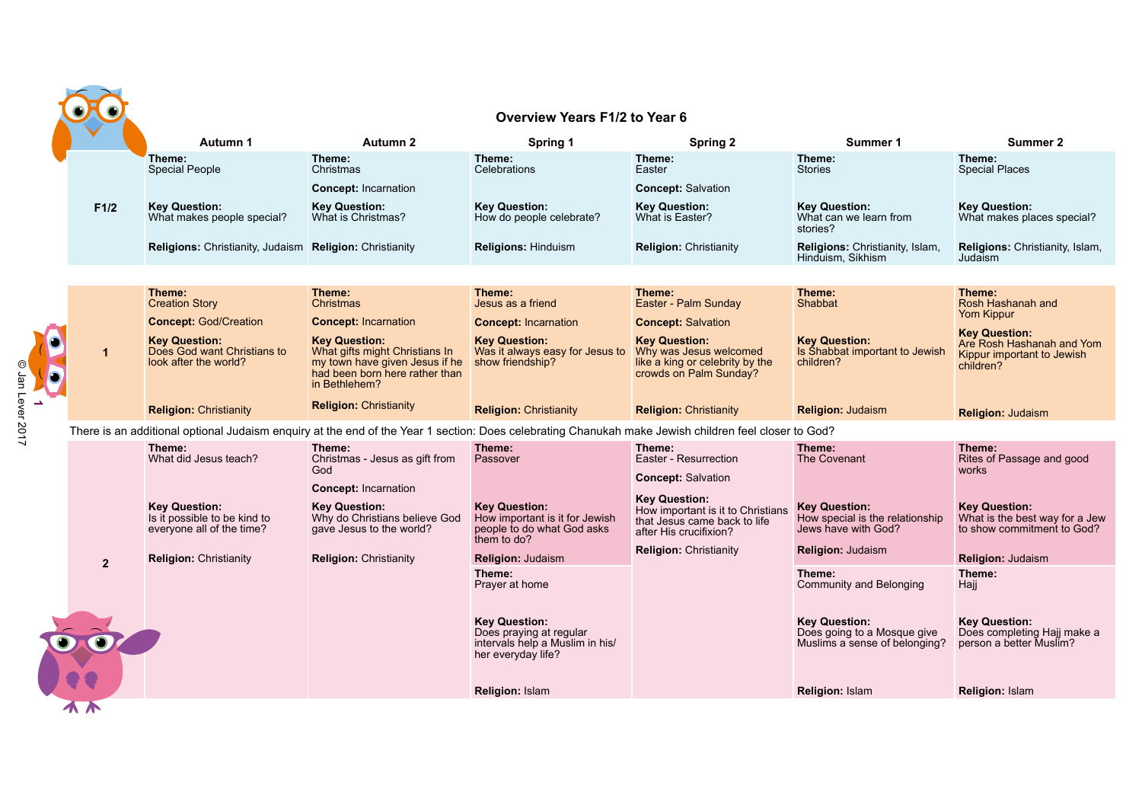|                                                                                                                                                           | Overview Years F1/2 to Year 6                                                                                                                                                     |                                                                                                                     |                                                                                      |                                                                                      |  |  |
|-----------------------------------------------------------------------------------------------------------------------------------------------------------|-----------------------------------------------------------------------------------------------------------------------------------------------------------------------------------|---------------------------------------------------------------------------------------------------------------------|--------------------------------------------------------------------------------------|--------------------------------------------------------------------------------------|--|--|
| Autumn 1                                                                                                                                                  | Autumn 2<br>Spring 1                                                                                                                                                              | Spring 2                                                                                                            | Summer 1                                                                             | Summer 2                                                                             |  |  |
| Theme:<br>Theme:<br><b>Special People</b><br>Christmas                                                                                                    | Theme:<br>Celebrations                                                                                                                                                            | Theme:<br>Easter                                                                                                    | Theme:<br><b>Stories</b>                                                             | Theme:<br><b>Special Places</b>                                                      |  |  |
| Concept: Incarnation                                                                                                                                      |                                                                                                                                                                                   | <b>Concept: Salvation</b>                                                                                           |                                                                                      |                                                                                      |  |  |
| <b>Key Question:</b><br><b>Key Question:</b><br>F1/2<br>What makes people special?<br>What is Christmas?                                                  | <b>Key Question:</b><br>How do people celebrate?                                                                                                                                  | <b>Key Question:</b><br>What is Easter?                                                                             | <b>Key Question:</b><br>What can we learn from<br>stories?                           | <b>Key Question:</b><br>What makes places special?                                   |  |  |
| <b>Religions:</b> Christianity, Judaism <b>Religion:</b> Christianity                                                                                     | <b>Religions: Hinduism</b>                                                                                                                                                        | <b>Religion: Christianity</b>                                                                                       | Religions: Christianity, Islam,<br>Hinduism. Sikhism                                 | <b>Religions:</b> Christianity, Islam,<br>Judaism                                    |  |  |
|                                                                                                                                                           |                                                                                                                                                                                   |                                                                                                                     |                                                                                      |                                                                                      |  |  |
| Theme:<br>Theme:<br><b>Creation Story</b><br>Christmas                                                                                                    | Theme:<br>Jesus as a friend                                                                                                                                                       | Theme:<br>Easter - Palm Sunday                                                                                      | Theme:<br>Shabbat                                                                    | Theme:<br>Rosh Hashanah and<br><b>Yom Kippur</b>                                     |  |  |
| <b>Concept: God/Creation</b>                                                                                                                              | <b>Concept: Incarnation</b><br><b>Concept: Incarnation</b>                                                                                                                        | <b>Concept: Salvation</b>                                                                                           |                                                                                      | <b>Key Question:</b>                                                                 |  |  |
| <b>Key Question:</b><br><b>Key Question:</b><br>Does God want Christians to<br>$\mathbf{1}$<br>look after the world?<br>O Jan Lever 2017<br>in Bethlehem? | <b>Key Question:</b><br>What gifts might Christians In<br>Was it always easy for Jesus to<br>my town have given Jesus if he<br>show friendship?<br>had been born here rather than | <b>Key Question:</b><br>Why was Jesus welcomed<br>like a king or celebrity by the<br>crowds on Palm Sunday?         | <b>Key Question:</b><br>Is Shabbat important to Jewish<br>children?                  | Are Rosh Hashanah and Yom<br>Kippur important to Jewish<br>children?                 |  |  |
| <b>Religion: Christianity</b>                                                                                                                             | <b>Religion: Christianity</b><br><b>Religion: Christianity</b>                                                                                                                    | <b>Religion: Christianity</b>                                                                                       | <b>Religion: Judaism</b>                                                             | <b>Religion: Judaism</b>                                                             |  |  |
|                                                                                                                                                           | There is an additional optional Judaism enquiry at the end of the Year 1 section: Does celebrating Chanukah make Jewish children feel closer to God?                              |                                                                                                                     |                                                                                      |                                                                                      |  |  |
| Theme:<br>Theme:<br>What did Jesus teach?<br>God                                                                                                          | Theme:<br>Christmas - Jesus as gift from<br>Passover                                                                                                                              | Theme:<br>Easter - Resurrection<br><b>Concept: Salvation</b>                                                        | Theme:<br>The Covenant                                                               | Theme:<br>Rites of Passage and good<br>works                                         |  |  |
|                                                                                                                                                           | <b>Concept: Incarnation</b>                                                                                                                                                       |                                                                                                                     |                                                                                      |                                                                                      |  |  |
| <b>Key Question:</b><br><b>Key Question:</b><br>Is it possible to be kind to<br>everyone all of the time?                                                 | <b>Key Question:</b><br>Why do Christians believe God<br>How important is it for Jewish<br>gave Jesus to the world?<br>people to do what God asks<br>them to do?                  | <b>Key Question:</b><br>How important is it to Christians<br>that Jesus came back to life<br>after His crucifixion? | <b>Key Question:</b><br>How special is the relationship<br>Jews have with God?       | <b>Key Question:</b><br>What is the best way for a Jew<br>to show commitment to God? |  |  |
| <b>Religion: Christianity</b><br>$\overline{2}$                                                                                                           | <b>Religion: Christianity</b><br><b>Religion: Judaism</b>                                                                                                                         | <b>Religion: Christianity</b>                                                                                       | <b>Religion: Judaism</b>                                                             | <b>Religion: Judaism</b>                                                             |  |  |
|                                                                                                                                                           | Theme:<br>Prayer at home                                                                                                                                                          |                                                                                                                     | Theme:<br>Community and Belonging                                                    | Theme:<br>Hajj                                                                       |  |  |
|                                                                                                                                                           | <b>Key Question:</b><br>Does praying at regular<br>intervals help a Muslim in his/<br>her everyday life?                                                                          |                                                                                                                     | <b>Key Question:</b><br>Does going to a Mosque give<br>Muslims a sense of belonging? | <b>Key Question:</b><br>Does completing Hajj make a<br>person a better Muslim?       |  |  |
|                                                                                                                                                           | <b>Religion: Islam</b>                                                                                                                                                            |                                                                                                                     | <b>Religion: Islam</b>                                                               | <b>Religion: Islam</b>                                                               |  |  |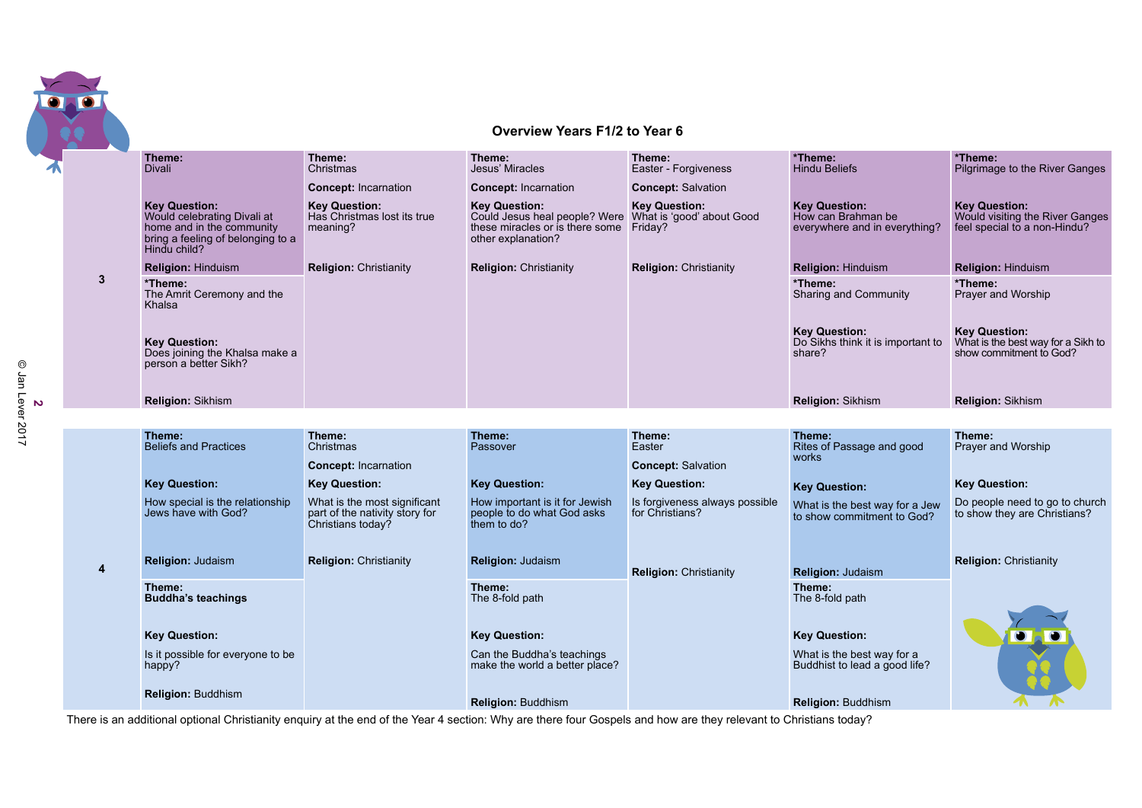

## **Overview Years F1/2 to Year 6**

|   | Theme:<br><b>Divali</b>                                                                                                               | Theme:<br>Christmas                                                                 | Theme:<br>Jesus' Miracles                                                                                                                        | Theme:<br>Easter - Forgiveness                    | *Theme:<br><b>Hindu Beliefs</b>                                             | *Theme:<br>Pilgrimage to the River Ganges                                               |
|---|---------------------------------------------------------------------------------------------------------------------------------------|-------------------------------------------------------------------------------------|--------------------------------------------------------------------------------------------------------------------------------------------------|---------------------------------------------------|-----------------------------------------------------------------------------|-----------------------------------------------------------------------------------------|
|   |                                                                                                                                       | <b>Concept: Incarnation</b>                                                         | <b>Concept: Incarnation</b>                                                                                                                      | <b>Concept: Salvation</b>                         |                                                                             |                                                                                         |
|   | <b>Key Question:</b><br>Would celebrating Divali at<br>home and in the community<br>bring a feeling of belonging to a<br>Hindu child? | <b>Key Question:</b><br>Has Christmas lost its true<br>meaning?                     | <b>Key Question:</b><br>Could Jesus heal people? Were What is 'good' about Good<br>these miracles or is there some Friday?<br>other explanation? | <b>Key Question:</b>                              | <b>Key Question:</b><br>How can Brahman be<br>everywhere and in everything? | <b>Key Question:</b><br>Would visiting the River Ganges<br>feel special to a non-Hindu? |
|   | <b>Religion: Hinduism</b>                                                                                                             | <b>Religion: Christianity</b>                                                       | <b>Religion: Christianity</b>                                                                                                                    | <b>Religion: Christianity</b>                     | <b>Religion: Hinduism</b>                                                   | <b>Religion: Hinduism</b>                                                               |
| 3 | *Theme:<br>The Amrit Ceremony and the<br>Khalsa                                                                                       |                                                                                     |                                                                                                                                                  |                                                   | *Theme:<br>Sharing and Community                                            | *Theme:<br>Prayer and Worship                                                           |
|   | <b>Key Question:</b><br>Does joining the Khalsa make a<br>person a better Sikh?                                                       |                                                                                     |                                                                                                                                                  |                                                   | <b>Key Question:</b><br>Do Sikhs think it is important to<br>share?         | <b>Key Question:</b><br>What is the best way for a Sikh to<br>show commitment to God?   |
|   | <b>Religion: Sikhism</b>                                                                                                              |                                                                                     |                                                                                                                                                  |                                                   | <b>Religion: Sikhism</b>                                                    | <b>Religion: Sikhism</b>                                                                |
|   |                                                                                                                                       |                                                                                     |                                                                                                                                                  |                                                   |                                                                             |                                                                                         |
|   | Theme:                                                                                                                                | Theme:                                                                              | Theme:                                                                                                                                           | Theme:                                            | Theme:                                                                      | Theme:                                                                                  |
|   | <b>Beliefs and Practices</b>                                                                                                          | Christmas                                                                           | Passover                                                                                                                                         | Easter                                            | Rites of Passage and good                                                   | Prayer and Worship                                                                      |
|   |                                                                                                                                       | <b>Concept: Incarnation</b>                                                         |                                                                                                                                                  | <b>Concept: Salvation</b>                         | works                                                                       |                                                                                         |
|   | <b>Key Question:</b>                                                                                                                  | <b>Key Question:</b>                                                                | <b>Key Question:</b>                                                                                                                             | <b>Key Question:</b>                              | <b>Key Question:</b>                                                        | <b>Key Question:</b>                                                                    |
|   | How special is the relationship<br>Jews have with God?                                                                                | What is the most significant<br>part of the nativity story for<br>Christians today? | How important is it for Jewish<br>people to do what God asks<br>them to do?                                                                      | Is forgiveness always possible<br>for Christians? | What is the best way for a Jew<br>to show commitment to God?                | Do people need to go to church<br>to show they are Christians?                          |
| 4 | <b>Religion: Judaism</b>                                                                                                              | <b>Religion: Christianity</b>                                                       | <b>Religion: Judaism</b>                                                                                                                         | <b>Religion: Christianity</b>                     | <b>Religion: Judaism</b>                                                    | <b>Religion: Christianity</b>                                                           |
|   | Theme:<br><b>Buddha's teachings</b>                                                                                                   |                                                                                     | Theme:<br>The 8-fold path                                                                                                                        |                                                   | Theme:<br>The 8-fold path                                                   |                                                                                         |
|   | <b>Key Question:</b>                                                                                                                  |                                                                                     | <b>Key Question:</b>                                                                                                                             |                                                   | <b>Key Question:</b>                                                        |                                                                                         |
|   | Is it possible for everyone to be<br>happy?                                                                                           |                                                                                     | Can the Buddha's teachings<br>make the world a better place?                                                                                     |                                                   | What is the best way for a<br>Buddhist to lead a good life?                 |                                                                                         |
|   | <b>Religion: Buddhism</b>                                                                                                             |                                                                                     | <b>Religion: Buddhism</b>                                                                                                                        |                                                   | <b>Religion: Buddhism</b>                                                   |                                                                                         |

There is an additional optional Christianity enquiry at the end of the Year 4 section: Why are there four Gospels and how are they relevant to Christians today?

**2**<br>© Jan Lever 2017 © Jan Lever 2017